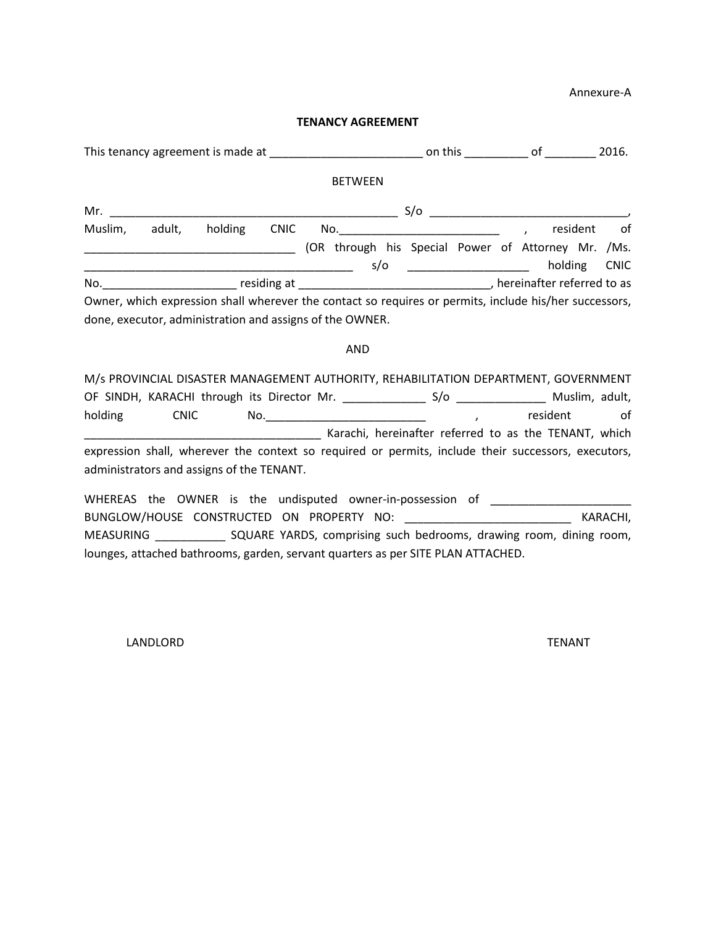Annexure-A

## **TENANCY AGREEMENT**

|         |        |                                                                   |             |                                                                                                                                                                    |     | on this |                                         | of      |          | 2016.             |  |
|---------|--------|-------------------------------------------------------------------|-------------|--------------------------------------------------------------------------------------------------------------------------------------------------------------------|-----|---------|-----------------------------------------|---------|----------|-------------------|--|
|         |        |                                                                   |             | <b>BETWEEN</b>                                                                                                                                                     |     |         |                                         |         |          |                   |  |
| Mr.     |        | <u> 1980 - Johann John Stone, mars eta biztanleria (h. 1980).</u> |             |                                                                                                                                                                    | S/O |         |                                         |         |          |                   |  |
| Muslim, | adult, | holding                                                           | <b>CNIC</b> | (OR through his Special Power of Attorney Mr. /Ms.                                                                                                                 | s/o |         | <u> 1990 - Johann Barbara, martin a</u> | holding | resident | of<br><b>CNIC</b> |  |
|         |        |                                                                   |             |                                                                                                                                                                    |     |         |                                         |         |          |                   |  |
|         |        |                                                                   |             | Owner, which expression shall wherever the contact so requires or permits, include his/her successors,<br>done, executor, administration and assigns of the OWNER. |     |         |                                         |         |          |                   |  |
|         |        |                                                                   |             | <b>AND</b>                                                                                                                                                         |     |         |                                         |         |          |                   |  |
|         |        |                                                                   |             | M/s PROVINCIAL DISASTER MANAGEMENT AUTHORITY, REHABILITATION DEPARTMENT, GOVERNMENT                                                                                |     |         |                                         |         |          |                   |  |

OF SINDH, KARACHI through its Director Mr. \_\_\_\_\_\_\_\_\_\_\_\_\_\_\_\_ S/o \_\_\_\_\_\_\_\_\_\_\_\_\_\_\_\_ Muslim, adult, holding CNIC No. 2000 CNIC CNIC CNIC No. 2014 \_\_\_\_\_\_\_\_\_\_\_\_\_\_\_\_\_\_\_\_\_\_\_\_\_\_\_\_\_\_\_\_\_\_\_\_\_ Karachi, hereinafter referred to as the TENANT, which expression shall, wherever the context so required or permits, include their successors, executors, administrators and assigns of the TENANT.

WHEREAS the OWNER is the undisputed owner-in-possession of \_\_\_\_\_\_\_\_\_\_\_\_\_\_\_\_\_\_\_\_\_ BUNGLOW/HOUSE CONSTRUCTED ON PROPERTY NO: \_\_\_\_\_\_\_\_\_\_\_\_\_\_\_\_\_\_\_\_\_\_\_\_\_\_\_\_\_\_\_\_\_ KARACHI, MEASURING \_\_\_\_\_\_\_\_\_\_\_ SQUARE YARDS, comprising such bedrooms, drawing room, dining room, lounges, attached bathrooms, garden, servant quarters as per SITE PLAN ATTACHED.

LANDLORD TENANT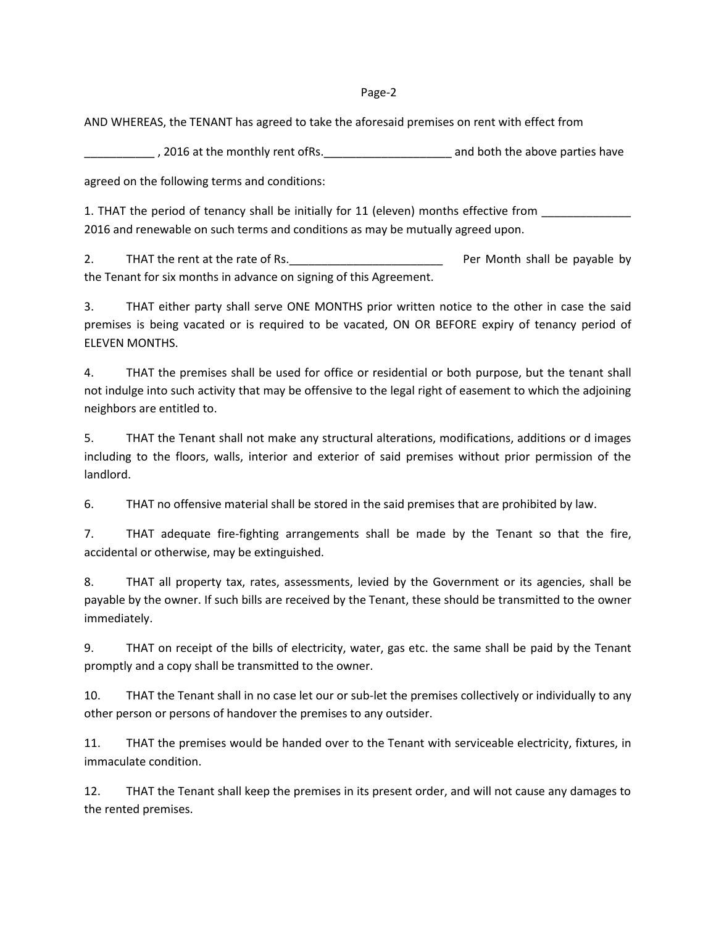## Page-2

AND WHEREAS, the TENANT has agreed to take the aforesaid premises on rent with effect from

 $\frac{1}{2}$ , 2016 at the monthly rent ofRs. $\frac{1}{2}$  and both the above parties have

agreed on the following terms and conditions:

1. THAT the period of tenancy shall be initially for 11 (eleven) months effective from 2016 and renewable on such terms and conditions as may be mutually agreed upon.

2. THAT the rent at the rate of Rs. The result of  $\overline{P}$  Per Month shall be payable by the Tenant for six months in advance on signing of this Agreement.

3. THAT either party shall serve ONE MONTHS prior written notice to the other in case the said premises is being vacated or is required to be vacated, ON OR BEFORE expiry of tenancy period of ELEVEN MONTHS.

4. THAT the premises shall be used for office or residential or both purpose, but the tenant shall not indulge into such activity that may be offensive to the legal right of easement to which the adjoining neighbors are entitled to.

5. THAT the Tenant shall not make any structural alterations, modifications, additions or d images including to the floors, walls, interior and exterior of said premises without prior permission of the landlord.

6. THAT no offensive material shall be stored in the said premises that are prohibited by law.

7. THAT adequate fire-fighting arrangements shall be made by the Tenant so that the fire, accidental or otherwise, may be extinguished.

8. THAT all property tax, rates, assessments, levied by the Government or its agencies, shall be payable by the owner. If such bills are received by the Tenant, these should be transmitted to the owner immediately.

9. THAT on receipt of the bills of electricity, water, gas etc. the same shall be paid by the Tenant promptly and a copy shall be transmitted to the owner.

10. THAT the Tenant shall in no case let our or sub-let the premises collectively or individually to any other person or persons of handover the premises to any outsider.

11. THAT the premises would be handed over to the Tenant with serviceable electricity, fixtures, in immaculate condition.

12. THAT the Tenant shall keep the premises in its present order, and will not cause any damages to the rented premises.